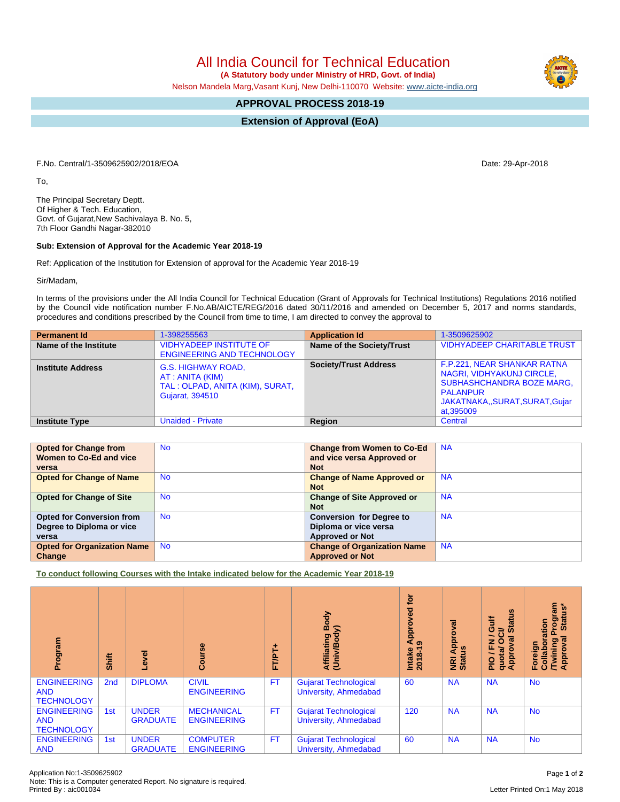Note: This is a Computer generated Report. No signature is required.

## All India Council for Technical Education

 **(A Statutory body under Ministry of HRD, Govt. of India)**

Nelson Mandela Marg,Vasant Kunj, New Delhi-110070 Website: [www.aicte-india.org](http://www.aicte-india.org)

## **APPROVAL PROCESS 2018-19**

**Extension of Approval (EoA)**

F.No. Central/1-3509625902/2018/EOA Date: 29-Apr-2018

To,

The Principal Secretary Deptt. Of Higher & Tech. Education, Govt. of Gujarat,New Sachivalaya B. No. 5, 7th Floor Gandhi Nagar-382010

## **Sub: Extension of Approval for the Academic Year 2018-19**

Ref: Application of the Institution for Extension of approval for the Academic Year 2018-19

Sir/Madam,

In terms of the provisions under the All India Council for Technical Education (Grant of Approvals for Technical Institutions) Regulations 2016 notified by the Council vide notification number F.No.AB/AICTE/REG/2016 dated 30/11/2016 and amended on December 5, 2017 and norms standards, procedures and conditions prescribed by the Council from time to time, I am directed to convey the approval to

| <b>Permanent Id</b>      | 1-398255563                                                                                         | <b>Application Id</b>            | 1-3509625902                                                                                                                                                 |
|--------------------------|-----------------------------------------------------------------------------------------------------|----------------------------------|--------------------------------------------------------------------------------------------------------------------------------------------------------------|
| Name of the Institute    | <b>VIDHYADEEP INSTITUTE OF</b><br><b>ENGINEERING AND TECHNOLOGY</b>                                 | <b>Name of the Society/Trust</b> | <b>VIDHYADEEP CHARITABLE TRUST</b>                                                                                                                           |
| <b>Institute Address</b> | <b>G.S. HIGHWAY ROAD,</b><br>AT : ANITA (KIM)<br>TAL: OLPAD, ANITA (KIM), SURAT,<br>Gujarat, 394510 | <b>Society/Trust Address</b>     | F.P.221, NEAR SHANKAR RATNA<br>NAGRI, VIDHYAKUNJ CIRCLE,<br><b>SUBHASHCHANDRA BOZE MARG,</b><br><b>PALANPUR</b><br>JAKATNAKA,,SURAT,SURAT,Gujar<br>at,395009 |
| <b>Institute Type</b>    | <b>Unaided - Private</b>                                                                            | Region                           | Central                                                                                                                                                      |

| <b>Opted for Change from</b>       | <b>No</b> | <b>Change from Women to Co-Ed</b>  | <b>NA</b> |
|------------------------------------|-----------|------------------------------------|-----------|
| Women to Co-Ed and vice            |           | and vice versa Approved or         |           |
| versa                              |           | <b>Not</b>                         |           |
| <b>Opted for Change of Name</b>    | <b>No</b> | <b>Change of Name Approved or</b>  | <b>NA</b> |
|                                    |           | <b>Not</b>                         |           |
| <b>Opted for Change of Site</b>    | <b>No</b> | <b>Change of Site Approved or</b>  | <b>NA</b> |
|                                    |           | <b>Not</b>                         |           |
| <b>Opted for Conversion from</b>   | <b>No</b> | <b>Conversion for Degree to</b>    | <b>NA</b> |
| Degree to Diploma or vice          |           | Diploma or vice versa              |           |
| versa                              |           | <b>Approved or Not</b>             |           |
| <b>Opted for Organization Name</b> | <b>No</b> | <b>Change of Organization Name</b> | <b>NA</b> |
| Change                             |           | <b>Approved or Not</b>             |           |

**To conduct following Courses with the Intake indicated below for the Academic Year 2018-19**

| Program                                               | Shift           | g                               | $\frac{6}{3}$<br>ပ္ပြ                   | ٠<br>FT/PT | Body<br>$\tilde{\mathbf{e}}$<br>Affiliating<br>(Univ/Body | è<br>yed<br>Ó<br>App<br>Intake<br>2018-1 | <b>IBAO.</b><br><b>Appro</b><br><b>NRI Ap<br/>Status</b> | <b>Status</b><br>Gulf<br>≃<br>∽<br>$\sigma$<br>준<br>ppro<br>uota/<br><b>DI</b> d<br>ᇂ<br>⋖ | Program<br>Status*<br>ation<br>ड़<br>Twining<br>$\circ$<br>Foreign<br>Collab<br>Ö<br>Appro |
|-------------------------------------------------------|-----------------|---------------------------------|-----------------------------------------|------------|-----------------------------------------------------------|------------------------------------------|----------------------------------------------------------|--------------------------------------------------------------------------------------------|--------------------------------------------------------------------------------------------|
| <b>ENGINEERING</b><br><b>AND</b><br><b>TECHNOLOGY</b> | 2 <sub>nd</sub> | <b>DIPLOMA</b>                  | <b>CIVIL</b><br><b>ENGINEERING</b>      | <b>FT</b>  | <b>Gujarat Technological</b><br>University, Ahmedabad     | 60                                       | <b>NA</b>                                                | <b>NA</b>                                                                                  | <b>No</b>                                                                                  |
| <b>ENGINEERING</b><br><b>AND</b><br><b>TECHNOLOGY</b> | 1st             | <b>UNDER</b><br><b>GRADUATE</b> | <b>MECHANICAL</b><br><b>ENGINEERING</b> | <b>FT</b>  | <b>Gujarat Technological</b><br>University, Ahmedabad     | 120                                      | <b>NA</b>                                                | <b>NA</b>                                                                                  | <b>No</b>                                                                                  |
| <b>ENGINEERING</b><br><b>AND</b>                      | 1st             | <b>UNDER</b><br><b>GRADUATE</b> | <b>COMPUTER</b><br><b>ENGINEERING</b>   | <b>FT</b>  | <b>Gujarat Technological</b><br>University, Ahmedabad     | 60                                       | <b>NA</b>                                                | <b>NA</b>                                                                                  | <b>No</b>                                                                                  |